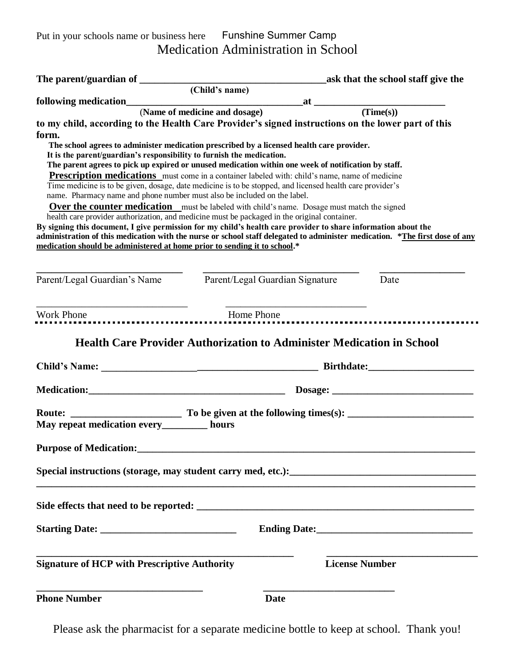Put in your schools name or business here Funshine Summer CampMedication Administration in School

|                                                                                                                                                                                                                                                                                                                                                                                                                                                                                                                                  |                             | ask that the school staff give the                                         |      |
|----------------------------------------------------------------------------------------------------------------------------------------------------------------------------------------------------------------------------------------------------------------------------------------------------------------------------------------------------------------------------------------------------------------------------------------------------------------------------------------------------------------------------------|-----------------------------|----------------------------------------------------------------------------|------|
|                                                                                                                                                                                                                                                                                                                                                                                                                                                                                                                                  | $\overline{(Child's name)}$ |                                                                            |      |
| following medication $\overbrace{ }$ (Time(s)) at $\overbrace{ }$ (Time(s))                                                                                                                                                                                                                                                                                                                                                                                                                                                      |                             |                                                                            |      |
| to my child, according to the Health Care Provider's signed instructions on the lower part of this<br>form.<br>The school agrees to administer medication prescribed by a licensed health care provider.<br>It is the parent/guardian's responsibility to furnish the medication.                                                                                                                                                                                                                                                |                             |                                                                            |      |
| The parent agrees to pick up expired or unused medication within one week of notification by staff.<br>Prescription medications must come in a container labeled with: child's name, name of medicine<br>Time medicine is to be given, dosage, date medicine is to be stopped, and licensed health care provider's<br>name. Pharmacy name and phone number must also be included on the label.                                                                                                                                   |                             |                                                                            |      |
| <b>Over the counter medication</b> must be labeled with child's name. Dosage must match the signed<br>health care provider authorization, and medicine must be packaged in the original container.<br>By signing this document, I give permission for my child's health care provider to share information about the<br>administration of this medication with the nurse or school staff delegated to administer medication. *The first dose of any<br>medication should be administered at home prior to sending it to school.* |                             |                                                                            |      |
| Parent/Legal Guardian's Name Parent/Legal Guardian Signature                                                                                                                                                                                                                                                                                                                                                                                                                                                                     |                             |                                                                            | Date |
| Work Phone <b>Example 20</b> Home Phone <b>Home</b> Phone                                                                                                                                                                                                                                                                                                                                                                                                                                                                        |                             | the control of the control of the control of the control of the control of |      |
| <b>Health Care Provider Authorization to Administer Medication in School</b>                                                                                                                                                                                                                                                                                                                                                                                                                                                     |                             |                                                                            |      |
|                                                                                                                                                                                                                                                                                                                                                                                                                                                                                                                                  |                             |                                                                            |      |
|                                                                                                                                                                                                                                                                                                                                                                                                                                                                                                                                  |                             |                                                                            |      |
| May repeat medication every________ hours                                                                                                                                                                                                                                                                                                                                                                                                                                                                                        |                             |                                                                            |      |
| <b>Purpose of Medication:</b>                                                                                                                                                                                                                                                                                                                                                                                                                                                                                                    |                             |                                                                            |      |
|                                                                                                                                                                                                                                                                                                                                                                                                                                                                                                                                  |                             |                                                                            |      |
|                                                                                                                                                                                                                                                                                                                                                                                                                                                                                                                                  |                             |                                                                            |      |
|                                                                                                                                                                                                                                                                                                                                                                                                                                                                                                                                  |                             |                                                                            |      |
| <b>Signature of HCP with Prescriptive Authority</b>                                                                                                                                                                                                                                                                                                                                                                                                                                                                              |                             | <b>License Number</b>                                                      |      |
| <b>Phone Number</b>                                                                                                                                                                                                                                                                                                                                                                                                                                                                                                              | <b>Date</b>                 |                                                                            |      |

Please ask the pharmacist for a separate medicine bottle to keep at school. Thank you!